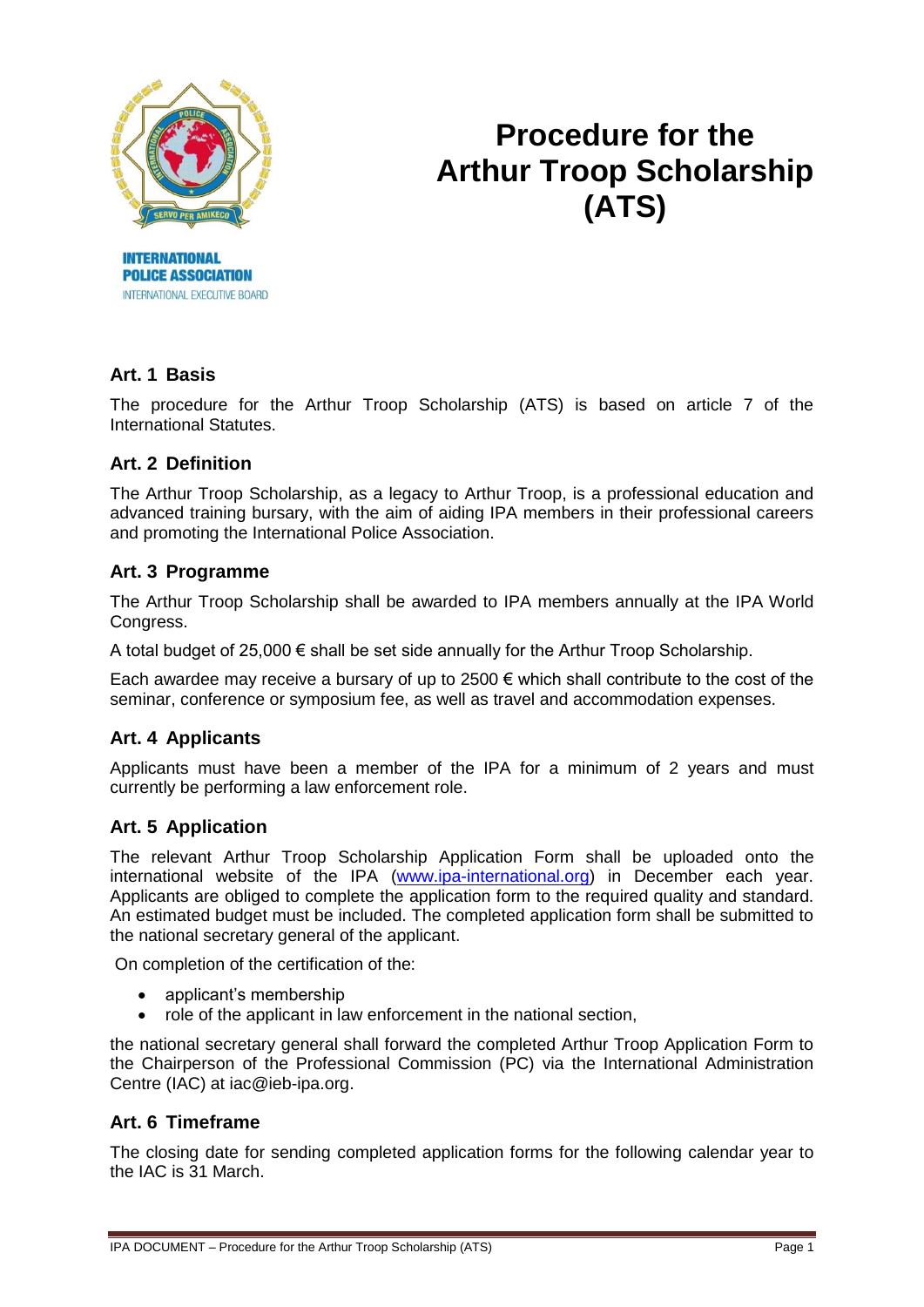

**POLICE ASSOCIATION** INTERNATIONAL EXECUTIVE BOARD

# **Procedure for the Arthur Troop Scholarship (ATS)**

# **Art. 1 Basis**

The procedure for the Arthur Troop Scholarship (ATS) is based on article 7 of the International Statutes.

## **Art. 2 Definition**

The Arthur Troop Scholarship, as a legacy to Arthur Troop, is a professional education and advanced training bursary, with the aim of aiding IPA members in their professional careers and promoting the International Police Association.

## **Art. 3 Programme**

The Arthur Troop Scholarship shall be awarded to IPA members annually at the IPA World Congress.

A total budget of 25,000 € shall be set side annually for the Arthur Troop Scholarship.

Each awardee may receive a bursary of up to 2500  $\epsilon$  which shall contribute to the cost of the seminar, conference or symposium fee, as well as travel and accommodation expenses.

## **Art. 4 Applicants**

Applicants must have been a member of the IPA for a minimum of 2 years and must currently be performing a law enforcement role.

## **Art. 5 Application**

The relevant Arthur Troop Scholarship Application Form shall be uploaded onto the international website of the IPA [\(www.ipa-international.org\)](http://www.ipa-international.org/) in December each year. Applicants are obliged to complete the application form to the required quality and standard. An estimated budget must be included. The completed application form shall be submitted to the national secretary general of the applicant.

On completion of the certification of the:

- applicant's membership
- role of the applicant in law enforcement in the national section,

the national secretary general shall forward the completed Arthur Troop Application Form to the Chairperson of the Professional Commission (PC) via the International Administration Centre (IAC) at iac@ieb-ipa.org.

#### **Art. 6 Timeframe**

The closing date for sending completed application forms for the following calendar year to the IAC is 31 March.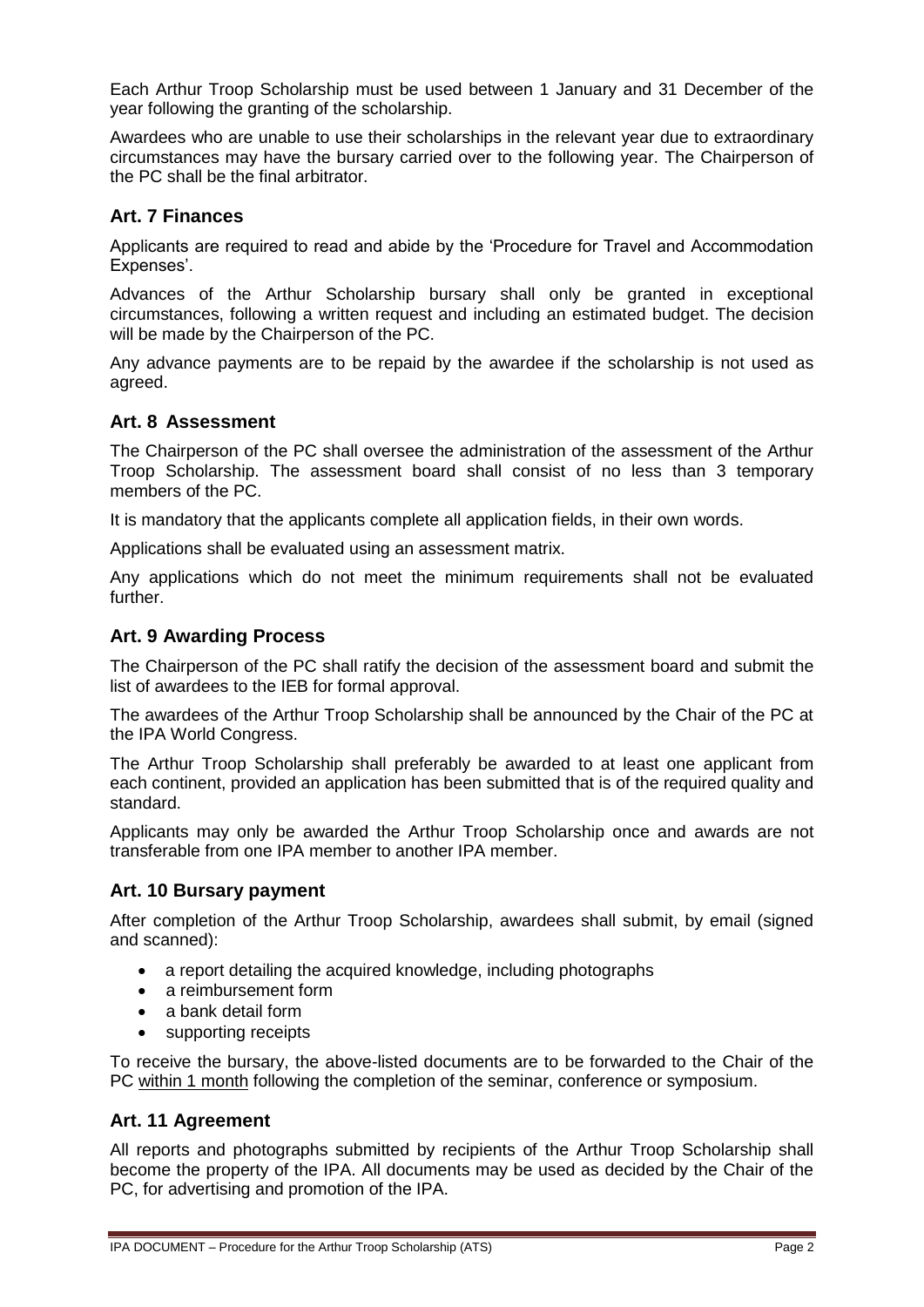Each Arthur Troop Scholarship must be used between 1 January and 31 December of the year following the granting of the scholarship.

Awardees who are unable to use their scholarships in the relevant year due to extraordinary circumstances may have the bursary carried over to the following year. The Chairperson of the PC shall be the final arbitrator.

## **Art. 7 Finances**

Applicants are required to read and abide by the 'Procedure for Travel and Accommodation Expenses'.

Advances of the Arthur Scholarship bursary shall only be granted in exceptional circumstances, following a written request and including an estimated budget. The decision will be made by the Chairperson of the PC.

Any advance payments are to be repaid by the awardee if the scholarship is not used as agreed.

## **Art. 8 Assessment**

The Chairperson of the PC shall oversee the administration of the assessment of the Arthur Troop Scholarship. The assessment board shall consist of no less than 3 temporary members of the PC.

It is mandatory that the applicants complete all application fields, in their own words.

Applications shall be evaluated using an assessment matrix.

Any applications which do not meet the minimum requirements shall not be evaluated further.

## **Art. 9 Awarding Process**

The Chairperson of the PC shall ratify the decision of the assessment board and submit the list of awardees to the IEB for formal approval.

The awardees of the Arthur Troop Scholarship shall be announced by the Chair of the PC at the IPA World Congress.

The Arthur Troop Scholarship shall preferably be awarded to at least one applicant from each continent, provided an application has been submitted that is of the required quality and standard.

Applicants may only be awarded the Arthur Troop Scholarship once and awards are not transferable from one IPA member to another IPA member.

#### **Art. 10 Bursary payment**

After completion of the Arthur Troop Scholarship, awardees shall submit, by email (signed and scanned):

- a report detailing the acquired knowledge, including photographs
- a reimbursement form
- a bank detail form
- supporting receipts

To receive the bursary, the above-listed documents are to be forwarded to the Chair of the PC within 1 month following the completion of the seminar, conference or symposium.

#### **Art. 11 Agreement**

All reports and photographs submitted by recipients of the Arthur Troop Scholarship shall become the property of the IPA. All documents may be used as decided by the Chair of the PC, for advertising and promotion of the IPA.